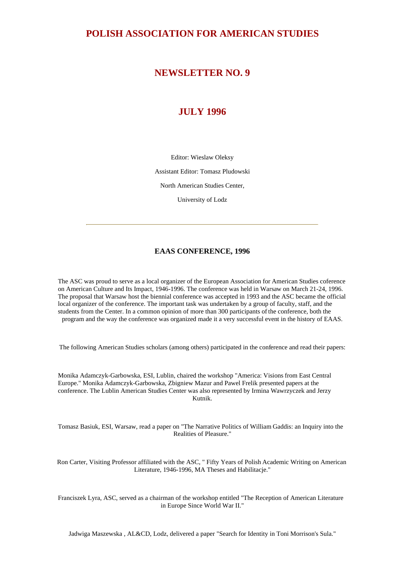# **POLISH ASSOCIATION FOR AMERICAN STUDIES**

# **NEWSLETTER NO. 9**

# **JULY 1996**

Editor: Wieslaw Oleksy Assistant Editor: Tomasz Pludowski North American Studies Center, University of Lodz

# **EAAS CONFERENCE, 1996**

The ASC was proud to serve as a local organizer of the European Association for American Studies coference on American Culture and Its Impact, 1946-1996. The conference was held in Warsaw on March 21-24, 1996. The proposal that Warsaw host the biennial conference was accepted in 1993 and the ASC became the official local organizer of the conference. The important task was undertaken by a group of faculty, staff, and the students from the Center. In a common opinion of more than 300 participants of the conference, both the program and the way the conference was organized made it a very successful event in the history of EAAS.

The following American Studies scholars (among others) participated in the conference and read their papers:

Monika Adamczyk-Garbowska, ESI, Lublin, chaired the workshop "America: Visions from East Central Europe." Monika Adamczyk-Garbowska, Zbigniew Mazur and Pawel Frelik presented papers at the conference. The Lublin American Studies Center was also represented by Irmina Wawrzyczek and Jerzy Kutnik.

Tomasz Basiuk, ESI, Warsaw, read a paper on "The Narrative Politics of William Gaddis: an Inquiry into the Realities of Pleasure."

Ron Carter, Visiting Professor affiliated with the ASC, " Fifty Years of Polish Academic Writing on American Literature, 1946-1996, MA Theses and Habilitacje."

Franciszek Lyra, ASC, served as a chairman of the workshop entitled "The Reception of American Literature in Europe Since World War II."

Jadwiga Maszewska , AL&CD, Lodz, delivered a paper "Search for Identity in Toni Morrison's Sula."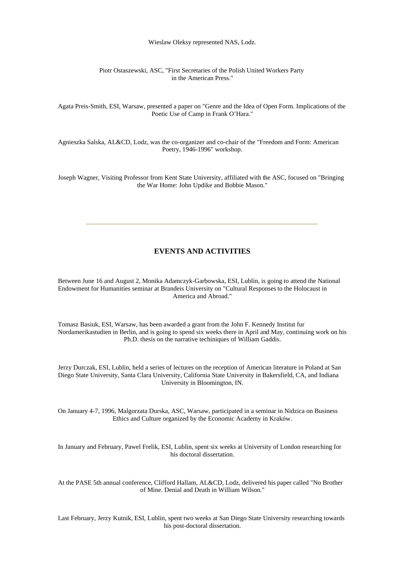Wieslaw Oleksy represented NAS, Lodz.

#### Piotr Ostaszewski, ASC, "First Secretaries of the Polish United Workers Party in the American Press."

Agata Preis-Smith, ESI, Warsaw, presented a paper on "Genre and the Idea of Open Form. Implications of the Poetic Use of Camp in Frank O'Hara."

Agnieszka Salska, AL&CD, Lodz, was the co-organizer and co-chair of the "Freedom and Form: American Poetry, 1946-1996" workshop.

Joseph Wagner, Visiting Professor from Kent State University, affiliated with the ASC, focused on "Bringing the War Home: John Updike and Bobbie Mason."

# **EVENTS AND ACTIVITIES**

Between June 16 and August 2, Monika Adamczyk-Garbowska, ESI, Lublin, is going to attend the National Endowment for Humanities seminar at Brandeis University on "Cultural Responses to the Holocaust in America and Abroad."

Tomasz Basiuk, ESI, Warsaw, has been awarded a grant from the John F. Kennedy Institut fur Nordamerikastudien in Berlin, and is going to spend six weeks there in April and May, continuing work on his Ph.D. thesis on the narrative techiniques of William Gaddis.

Jerzy Durczak, ESI, Lublin, held a series of lectures on the reception of American literature in Poland at San Diego State University, Santa Clara University, California State University in Bakersfield, CA, and Indiana University in Bloomington, IN.

On January 4-7, 1996, Malgorzata Durska, ASC, Warsaw, participated in a seminar in Nidzica on Business Ethics and Culture organized by the Economic Academy in Kraków.

In January and February, Pawel Frelik, ESI, Lublin, spent six weeks at University of London researching for his doctoral dissertation.

At the PASE 5th annual conference, Clifford Hallam, AL&CD, Lodz, delivered his paper called "No Brother of Mine. Denial and Death in William Wilson."

Last February, Jerzy Kutnik, ESI, Lublin, spent two weeks at San Diego State University researching towards his post-doctoral dissertation.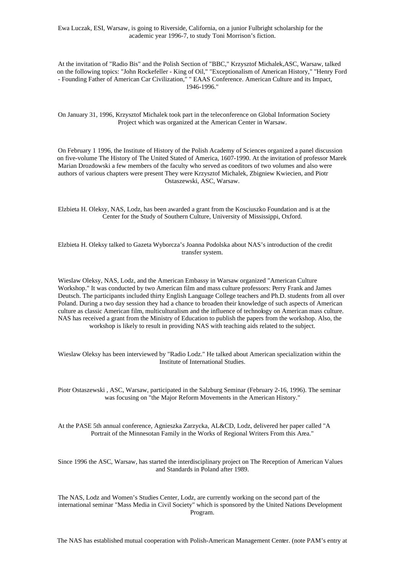Ewa Luczak, ESI, Warsaw, is going to Riverside, California, on a junior Fulbright scholarship for the academic year 1996-7, to study Toni Morrison's fiction.

At the invitation of "Radio Bis" and the Polish Section of "BBC," Krzysztof Michalek,ASC, Warsaw, talked on the following topics: "John Rockefeller - King of Oil," "Exceptionalism of American History," "Henry Ford - Founding Father of American Car Civilization," " EAAS Conference. American Culture and its Impact, 1946-1996."

On January 31, 1996, Krzysztof Michalek took part in the teleconference on Global Information Society Project which was organized at the American Center in Warsaw.

On February 1 1996, the Institute of History of the Polish Academy of Sciences organized a panel discussion on five-volume The History of The United Stated of America, 1607-1990. At the invitation of professor Marek Marian Drozdowski a few members of the faculty who served as coeditors of two volumes and also were authors of various chapters were present They were Krzysztof Michalek, Zbigniew Kwiecien, and Piotr Ostaszewski, ASC, Warsaw.

Elzbieta H. Oleksy, NAS, Lodz, has been awarded a grant from the Kosciuszko Foundation and is at the Center for the Study of Southern Culture, University of Mississippi, Oxford.

Elzbieta H. Oleksy talked to Gazeta Wyborcza's Joanna Podolska about NAS's introduction of the credit transfer system.

Wieslaw Oleksy, NAS, Lodz, and the American Embassy in Warsaw organized "American Culture Workshop." It was conducted by two American film and mass culture professors: Perry Frank and James Deutsch. The participants included thirty English Language College teachers and Ph.D. students from all over Poland. During a two day session they had a chance to broaden their knowledge of such aspects of American culture as classic American film, multiculturalism and the influence of technology on American mass culture. NAS has received a grant from the Ministry of Education to publish the papers from the workshop. Also, the workshop is likely to result in providing NAS with teaching aids related to the subject.

Wieslaw Oleksy has been interviewed by "Radio Lodz." He talked about American specialization within the Institute of International Studies.

Piotr Ostaszewski , ASC, Warsaw, participated in the Salzburg Seminar (February 2-16, 1996). The seminar was focusing on "the Major Reform Movements in the American History."

At the PASE 5th annual conference, Agnieszka Zarzycka, AL&CD, Lodz, delivered her paper called "A Portrait of the Minnesotan Family in the Works of Regional Writers From this Area."

Since 1996 the ASC, Warsaw, has started the interdisciplinary project on The Reception of American Values and Standards in Poland after 1989.

The NAS, Lodz and Women's Studies Center, Lodz, are currently working on the second part of the international seminar "Mass Media in Civil Society" which is sponsored by the United Nations Development Program.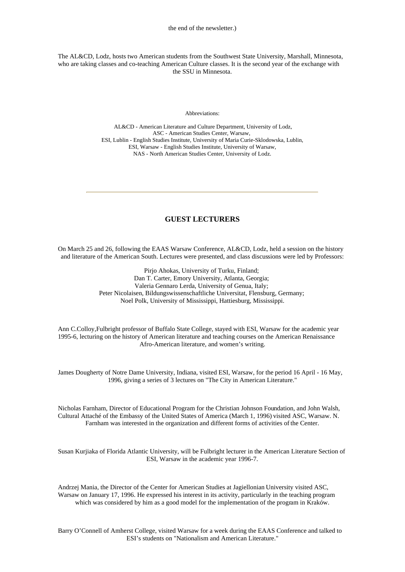The AL&CD, Lodz, hosts two American students from the Southwest State University, Marshall, Minnesota, who are taking classes and co-teaching American Culture classes. It is the second year of the exchange with the SSU in Minnesota.

#### Abbreviations:

 AL&CD - American Literature and Culture Department, University of Lodz, ASC - American Studies Center, Warsaw, ESI, Lublin - English Studies Institute, University of Maria Curie-Sklodowska, Lublin, ESI, Warsaw - English Studies Institute, University of Warsaw, NAS - North American Studies Center, University of Lodz.

# **GUEST LECTURERS**

On March 25 and 26, following the EAAS Warsaw Conference, AL&CD, Lodz, held a session on the history and literature of the American South. Lectures were presented, and class discussions were led by Professors:

> Pirjo Ahokas, University of Turku, Finland; Dan T. Carter, Emory University, Atlanta, Georgia; Valeria Gennaro Lerda, University of Genua, Italy; Peter Nicolaisen, Bildungswissenschaftliche Universitat, Flensburg, Germany; Noel Polk, University of Mississippi, Hattiesburg, Mississippi.

Ann C.Colloy,Fulbright professor of Buffalo State College, stayed with ESI, Warsaw for the academic year 1995-6, lecturing on the history of American literature and teaching courses on the American Renaissance Afro-American literature, and women's writing.

James Dougherty of Notre Dame University, Indiana, visited ESI, Warsaw, for the period 16 April - 16 May, 1996, giving a series of 3 lectures on "The City in American Literature."

Nicholas Farnham, Director of Educational Program for the Christian Johnson Foundation, and John Walsh, Cultural Attaché of the Embassy of the United States of America (March 1, 1996) visited ASC, Warsaw. N. Farnham was interested in the organization and different forms of activities of the Center.

Susan Kurjiaka of Florida Atlantic University, will be Fulbright lecturer in the American Literature Section of ESI, Warsaw in the academic year 1996-7.

Andrzej Mania, the Director of the Center for American Studies at Jagiellonian University visited ASC, Warsaw on January 17, 1996. He expressed his interest in its activity, particularly in the teaching program which was considered by him as a good model for the implementation of the program in Kraków.

Barry O'Connell of Amherst College, visited Warsaw for a week during the EAAS Conference and talked to ESI's students on "Nationalism and American Literature."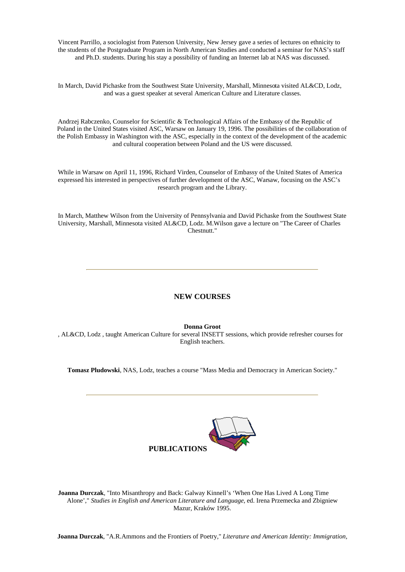Vincent Parrillo, a sociologist from Paterson University, New Jersey gave a series of lectures on ethnicity to the students of the Postgraduate Program in North American Studies and conducted a seminar for NAS's staff and Ph.D. students. During his stay a possibility of funding an Internet lab at NAS was discussed.

In March, David Pichaske from the Southwest State University, Marshall, Minnesota visited AL&CD, Lodz, and was a guest speaker at several American Culture and Literature classes.

Andrzej Rabczenko, Counselor for Scientific & Technological Affairs of the Embassy of the Republic of Poland in the United States visited ASC, Warsaw on January 19, 1996. The possibilities of the collaboration of the Polish Embassy in Washington with the ASC, especially in the context of the development of the academic and cultural cooperation between Poland and the US were discussed.

While in Warsaw on April 11, 1996, Richard Virden, Counselor of Embassy of the United States of America expressed his interested in perspectives of further development of the ASC, Warsaw, focusing on the ASC's research program and the Library.

In March, Matthew Wilson from the University of Pennsylvania and David Pichaske from the Southwest State University, Marshall, Minnesota visited AL&CD, Lodz. M.Wilson gave a lecture on "The Career of Charles Chestnutt."

# **NEW COURSES**

**Donna Groot**

, AL&CD, Lodz , taught American Culture for several INSETT sessions, which provide refresher courses for English teachers.

**Tomasz Pludowski**, NAS, Lodz, teaches a course "Mass Media and Democracy in American Society."



**Joanna Durczak**, "Into Misanthropy and Back: Galway Kinnell's 'When One Has Lived A Long Time Alone'," *Studies in English and American Literature and Language*, ed. Irena Przemecka and Zbigniew Mazur, Kraków 1995.

**Joanna Durczak**, "A.R.Ammons and the Frontiers of Poetry," *Literature and American Identity: Immigration,*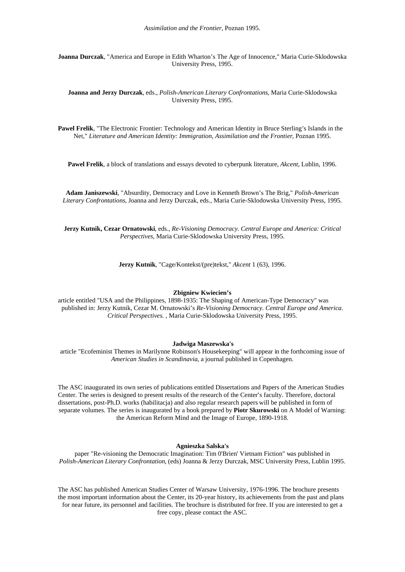**Joanna Durczak**, "America and Europe in Edith Wharton's The Age of Innocence," Maria Curie-Sklodowska University Press, 1995.

**Joanna and Jerzy Durczak**, eds., *Polish-American Literary Confrontations*, Maria Curie-Sklodowska University Press, 1995.

**Pawel Frelik**, "The Electronic Frontier: Technology and American Identity in Bruce Sterling's Islands in the Net," *Literature and American Identity: Immigration, Assimilation and the Frontier*, Poznan 1995.

**Pawel Frelik**, a block of translations and essays devoted to cyberpunk literature, *Akcent*, Lublin, 1996.

**Adam Janiszewski**, "Absurdity, Democracy and Love in Kenneth Brown's The Brig," *Polish-American Literary Confrontations*, Joanna and Jerzy Durczak, eds., Maria Curie-Sklodowska University Press, 1995.

**Jerzy Kutnik, Cezar Ornatowski**, eds., *Re-Visioning Democracy. Central Europe and America: Critical Perspectives*, Maria Curie-Sklodowska University Press, 1995.

**Jerzy Kutnik**, "Cage/Kontekst/(pre)tekst," *Akcent* 1 (63), 1996.

#### **Zbigniew Kwiecien's**

article entitled "USA and the Philippines, 1898-1935: The Shaping of American-Type Democracy" was published in: Jerzy Kutnik, Cezar M. Ornatowski's *Re-Visioning Democracy. Central Europe and America. Critical Perspectives.* , Maria Curie-Sklodowska University Press, 1995.

#### **Jadwiga Maszewska's**

article "Ecofeminist Themes in Marilynne Robinson's Housekeeping" will appear in the forthcoming issue of *American Studies in Scandinavia*, a journal published in Copenhagen.

The ASC inaugurated its own series of publications entitled Dissertations and Papers of the American Studies Center. The series is designed to present results of the research of the Center's faculty. Therefore, doctoral dissertations, post-Ph.D. works (habilitacja) and also regular research papers will be published in form of separate volumes. The series is inaugurated by a book prepared by **Piotr Skurowski** on A Model of Warning: the American Reform Mind and the Image of Europe, 1890-1918.

#### **Agnieszka Salska's**

paper "Re-visioning the Democratic Imagination: Tim 0'Brien' Vietnam Fiction" was published in *Polish-American Literary Confrontation*, (eds) Joanna & Jerzy Durczak, MSC University Press, Lublin 1995.

The ASC has published American Studies Center of Warsaw University, 1976-1996. The brochure presents the most important information about the Center, its 20-year history, its achievements from the past and plans for near future, its personnel and facilities. The brochure is distributed for free. If you are interested to get a free copy, please contact the ASC.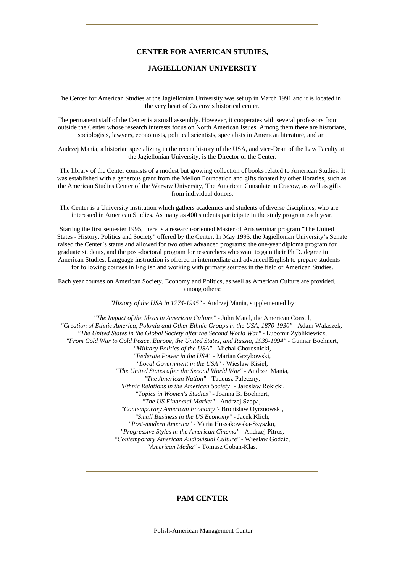## **CENTER FOR AMERICAN STUDIES,**

### **JAGIELLONIAN UNIVERSITY**

The Center for American Studies at the Jagiellonian University was set up in March 1991 and it is located in the very heart of Cracow's historical center.

The permanent staff of the Center is a small assembly. However, it cooperates with several professors from outside the Center whose research interests focus on North American Issues. Among them there are historians, sociologists, lawyers, economists, political scientists, specialists in American literature, and art.

Andrzej Mania, a historian specializing in the recent history of the USA, and vice-Dean of the Law Faculty at the Jagiellonian University, is the Director of the Center.

 The library of the Center consists of a modest but growing collection of books related to American Studies. It was established with a generous grant from the Mellon Foundation and gifts donated by other libraries, such as the American Studies Center of the Warsaw University, The American Consulate in Cracow, as well as gifts from individual donors.

 The Center is a University institution which gathers academics and students of diverse disciplines, who are interested in American Studies. As many as 400 students participate in the study program each year.

 Starting the first semester 1995, there is a research-oriented Master of Arts seminar program "The United States - History, Politics and Society" offered by the Center. In May 1995, the Jagiellonian University's Senate raised the Center's status and allowed for two other advanced programs: the one-year diploma program for graduate students, and the post-doctoral program for researchers who want to gain their Ph.D. degree in American Studies. Language instruction is offered in intermediate and advanced English to prepare students for following courses in English and working with primary sources in the field of American Studies.

Each year courses on American Society, Economy and Politics, as well as American Culture are provided, among others:

*"History of the USA in 1774-1945"* - Andrzej Mania, supplemented by:

*"The Impact of the Ideas in American Culture"* - John Matel, the American Consul, *"Creation of Ethnic America, Polonia and Other Ethnic Groups in the USA, 1870-1930"* - Adam Walaszek, *"The United States in the Global Society after the Second World War"* - Lubomir Zyblikiewicz, *"From Cold War to Cold Peace, Europe, the United States, and Russia, 1939-1994"* - Gunnar Boehnert, *"Military Politics of the USA"* - Michal Chorosnicki, *"Federate Power in the USA"* - Marian Grzybowski, *"Local Government in the USA"* - Wieslaw Kisiel, *"The United States after the Second World War"* - Andrzej Mania, *"The American Nation"* - Tadeusz Paleczny, *"Ethnic Relations in the American Society"* - Jaroslaw Rokicki, *"Topics in Women's Studies"* - Joanna B. Boehnert, *"The US Financial Market"* - Andrzej Szopa, *"Contemporary American Economy"*- Bronislaw Oyrznowski, *"Small Business in the US Economy"* - Jacek Klich, *"Post-modern America"* - Maria Hussakowska-Szyszko, *"Progressive Styles in the American Cinema"* - Andrzej Pitrus, *"Contemporary American Audiovisual Culture"* - Wieslaw Godzic, *"American Media"* - Tomasz Goban-Klas.

# **PAM CENTER**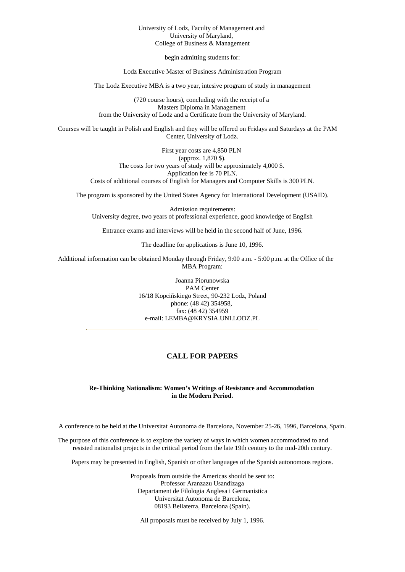#### University of Lodz, Faculty of Management and University of Maryland, College of Business & Management

begin admitting students for:

Lodz Executive Master of Business Administration Program

The Lodz Executive MBA is a two year, intesive program of study in management

(720 course hours), concluding with the receipt of a Masters Diploma in Management from the University of Lodz and a Certificate from the University of Maryland.

Courses will be taught in Polish and English and they will be offered on Fridays and Saturdays at the PAM Center, University of Lodz.

> First year costs are 4,850 PLN (approx. 1,870 \$). The costs for two years of study will be approximately 4,000 \$. Application fee is 70 PLN. Costs of additional courses of English for Managers and Computer Skills is 300 PLN.

The program is sponsored by the United States Agency for International Development (USAID).

Admission requirements: University degree, two years of professional experience, good knowledge of English

Entrance exams and interviews will be held in the second half of June, 1996.

The deadline for applications is June 10, 1996.

Additional information can be obtained Monday through Friday, 9:00 a.m. - 5:00 p.m. at the Office of the MBA Program:

> Joanna Piorunowska PAM Center 16/18 Kopciñskiego Street, 90-232 Lodz, Poland phone: (48 42) 354958, fax: (48 42) 354959 e-mail: LEMBA@KRYSIA.UNI.LODZ.PL

## **CALL FOR PAPERS**

#### **Re-Thinking Nationalism: Women's Writings of Resistance and Accommodation in the Modern Period.**

A conference to be held at the Universitat Autonoma de Barcelona, November 25-26, 1996, Barcelona, Spain.

The purpose of this conference is to explore the variety of ways in which women accommodated to and resisted nationalist projects in the critical period from the late 19th century to the mid-20th century.

Papers may be presented in English, Spanish or other languages of the Spanish autonomous regions.

Proposals from outside the Americas should be sent to: Professor Aranzazu Usandizaga Departament de Filologia Anglesa i Germanistica Universitat Autonoma de Barcelona, 08193 Bellaterra, Barcelona (Spain).

All proposals must be received by July 1, 1996.